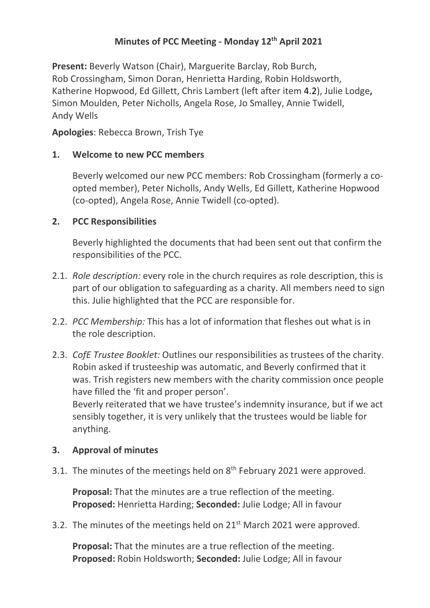# **Minutes of PCC Meeting - Monday 12th April 2021**

**Present:** Beverly Watson (Chair), Marguerite Barclay, Rob Burch, Rob Crossingham, Simon Doran, Henrietta Harding, Robin Holdsworth, Katherine Hopwood, Ed Gillett, Chris Lambert (left after item 4.2), Julie Lodge**,**  Simon Moulden, Peter Nicholls, Angela Rose, Jo Smalley, Annie Twidell, Andy Wells

**Apologies**: Rebecca Brown, Trish Tye

### **1. Welcome to new PCC members**

Beverly welcomed our new PCC members: Rob Crossingham (formerly a coopted member), Peter Nicholls, Andy Wells, Ed Gillett, Katherine Hopwood (co-opted), Angela Rose, Annie Twidell (co-opted).

### **2. PCC Responsibilities**

Beverly highlighted the documents that had been sent out that confirm the responsibilities of the PCC.

- 2.1. *Role description:* every role in the church requires as role description, this is part of our obligation to safeguarding as a charity. All members need to sign this. Julie highlighted that the PCC are responsible for.
- 2.2. *PCC Membership:* This has a lot of information that fleshes out what is in the role description.
- 2.3. *CofE Trustee Booklet:* Outlines our responsibilities as trustees of the charity. Robin asked if trusteeship was automatic, and Beverly confirmed that it was. Trish registers new members with the charity commission once people have filled the 'fit and proper person'. Beverly reiterated that we have trustee's indemnity insurance, but if we act sensibly together, it is very unlikely that the trustees would be liable for anything.

## **3. Approval of minutes**

3.1. The minutes of the meetings held on 8<sup>th</sup> February 2021 were approved.

**Proposal:** That the minutes are a true reflection of the meeting. **Proposed:** Henrietta Harding; **Seconded:** Julie Lodge; All in favour

3.2. The minutes of the meetings held on 21<sup>st</sup> March 2021 were approved.

**Proposal:** That the minutes are a true reflection of the meeting. **Proposed:** Robin Holdsworth; **Seconded:** Julie Lodge; All in favour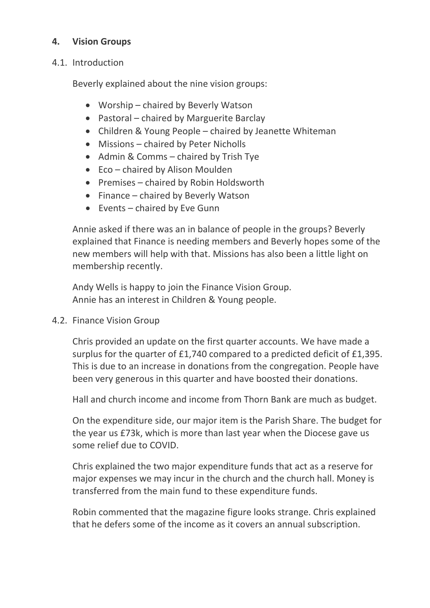## **4. Vision Groups**

#### 4.1. Introduction

Beverly explained about the nine vision groups:

- Worship chaired by Beverly Watson
- Pastoral chaired by Marguerite Barclay
- Children & Young People chaired by Jeanette Whiteman
- Missions chaired by Peter Nicholls
- Admin & Comms chaired by Trish Tye
- Eco chaired by Alison Moulden
- Premises chaired by Robin Holdsworth
- Finance chaired by Beverly Watson
- Events chaired by Eve Gunn

Annie asked if there was an in balance of people in the groups? Beverly explained that Finance is needing members and Beverly hopes some of the new members will help with that. Missions has also been a little light on membership recently.

Andy Wells is happy to join the Finance Vision Group. Annie has an interest in Children & Young people.

4.2. Finance Vision Group

Chris provided an update on the first quarter accounts. We have made a surplus for the quarter of £1,740 compared to a predicted deficit of £1,395. This is due to an increase in donations from the congregation. People have been very generous in this quarter and have boosted their donations.

Hall and church income and income from Thorn Bank are much as budget.

On the expenditure side, our major item is the Parish Share. The budget for the year us £73k, which is more than last year when the Diocese gave us some relief due to COVID.

Chris explained the two major expenditure funds that act as a reserve for major expenses we may incur in the church and the church hall. Money is transferred from the main fund to these expenditure funds.

Robin commented that the magazine figure looks strange. Chris explained that he defers some of the income as it covers an annual subscription.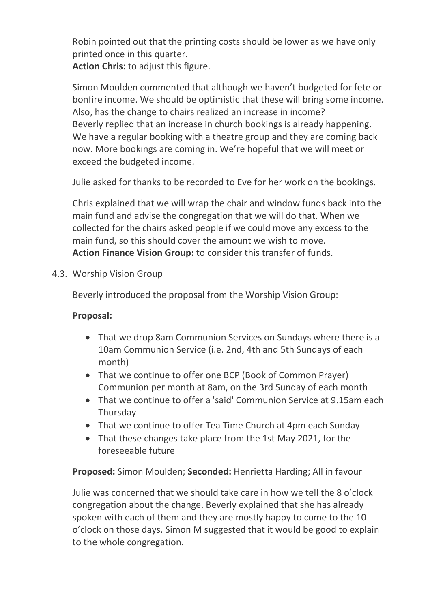Robin pointed out that the printing costs should be lower as we have only printed once in this quarter.

**Action Chris:** to adjust this figure.

Simon Moulden commented that although we haven't budgeted for fete or bonfire income. We should be optimistic that these will bring some income. Also, has the change to chairs realized an increase in income? Beverly replied that an increase in church bookings is already happening. We have a regular booking with a theatre group and they are coming back now. More bookings are coming in. We're hopeful that we will meet or exceed the budgeted income.

Julie asked for thanks to be recorded to Eve for her work on the bookings.

Chris explained that we will wrap the chair and window funds back into the main fund and advise the congregation that we will do that. When we collected for the chairs asked people if we could move any excess to the main fund, so this should cover the amount we wish to move. **Action Finance Vision Group:** to consider this transfer of funds.

4.3. Worship Vision Group

Beverly introduced the proposal from the Worship Vision Group:

## **Proposal:**

- That we drop 8am Communion Services on Sundays where there is a 10am Communion Service (i.e. 2nd, 4th and 5th Sundays of each month)
- That we continue to offer one BCP (Book of Common Prayer) Communion per month at 8am, on the 3rd Sunday of each month
- That we continue to offer a 'said' Communion Service at 9.15am each Thursday
- That we continue to offer Tea Time Church at 4pm each Sunday
- That these changes take place from the 1st May 2021, for the foreseeable future

**Proposed:** Simon Moulden; **Seconded:** Henrietta Harding; All in favour

Julie was concerned that we should take care in how we tell the 8 o'clock congregation about the change. Beverly explained that she has already spoken with each of them and they are mostly happy to come to the 10 o'clock on those days. Simon M suggested that it would be good to explain to the whole congregation.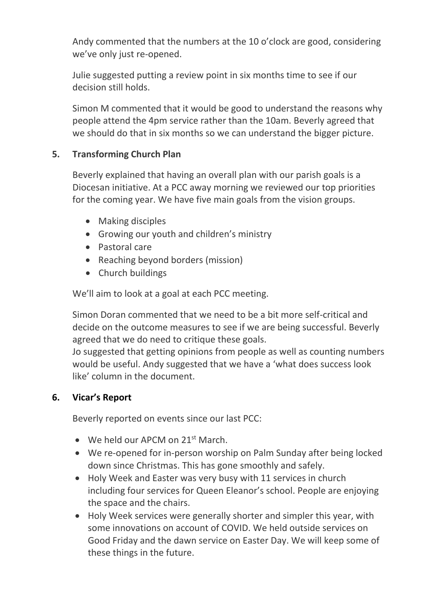Andy commented that the numbers at the 10 o'clock are good, considering we've only just re-opened.

Julie suggested putting a review point in six months time to see if our decision still holds.

Simon M commented that it would be good to understand the reasons why people attend the 4pm service rather than the 10am. Beverly agreed that we should do that in six months so we can understand the bigger picture.

### **5. Transforming Church Plan**

Beverly explained that having an overall plan with our parish goals is a Diocesan initiative. At a PCC away morning we reviewed our top priorities for the coming year. We have five main goals from the vision groups.

- Making disciples
- Growing our youth and children's ministry
- Pastoral care
- Reaching beyond borders (mission)
- Church buildings

We'll aim to look at a goal at each PCC meeting.

Simon Doran commented that we need to be a bit more self-critical and decide on the outcome measures to see if we are being successful. Beverly agreed that we do need to critique these goals.

Jo suggested that getting opinions from people as well as counting numbers would be useful. Andy suggested that we have a 'what does success look like' column in the document.

#### **6. Vicar's Report**

Beverly reported on events since our last PCC:

- We held our APCM on  $21^{st}$  March.
- We re-opened for in-person worship on Palm Sunday after being locked down since Christmas. This has gone smoothly and safely.
- Holy Week and Easter was very busy with 11 services in church including four services for Queen Eleanor's school. People are enjoying the space and the chairs.
- Holy Week services were generally shorter and simpler this year, with some innovations on account of COVID. We held outside services on Good Friday and the dawn service on Easter Day. We will keep some of these things in the future.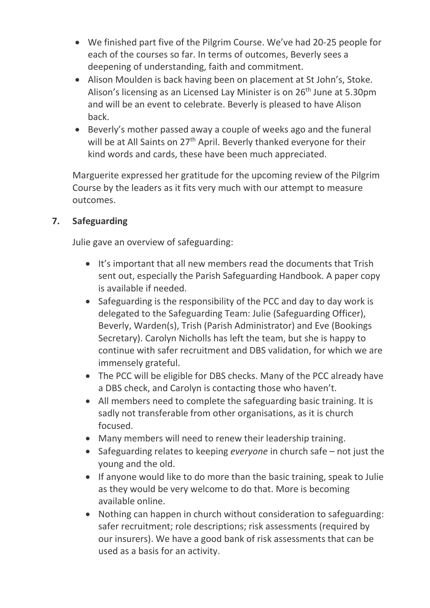- We finished part five of the Pilgrim Course. We've had 20-25 people for each of the courses so far. In terms of outcomes, Beverly sees a deepening of understanding, faith and commitment.
- Alison Moulden is back having been on placement at St John's, Stoke. Alison's licensing as an Licensed Lay Minister is on 26<sup>th</sup> June at 5.30pm and will be an event to celebrate. Beverly is pleased to have Alison back.
- Beverly's mother passed away a couple of weeks ago and the funeral will be at All Saints on 27<sup>th</sup> April. Beverly thanked everyone for their kind words and cards, these have been much appreciated.

Marguerite expressed her gratitude for the upcoming review of the Pilgrim Course by the leaders as it fits very much with our attempt to measure outcomes.

# **7. Safeguarding**

Julie gave an overview of safeguarding:

- It's important that all new members read the documents that Trish sent out, especially the Parish Safeguarding Handbook. A paper copy is available if needed.
- Safeguarding is the responsibility of the PCC and day to day work is delegated to the Safeguarding Team: Julie (Safeguarding Officer), Beverly, Warden(s), Trish (Parish Administrator) and Eve (Bookings Secretary). Carolyn Nicholls has left the team, but she is happy to continue with safer recruitment and DBS validation, for which we are immensely grateful.
- The PCC will be eligible for DBS checks. Many of the PCC already have a DBS check, and Carolyn is contacting those who haven't.
- All members need to complete the safeguarding basic training. It is sadly not transferable from other organisations, as it is church focused.
- Many members will need to renew their leadership training.
- Safeguarding relates to keeping *everyone* in church safe not just the young and the old.
- If anyone would like to do more than the basic training, speak to Julie as they would be very welcome to do that. More is becoming available online.
- Nothing can happen in church without consideration to safeguarding: safer recruitment; role descriptions; risk assessments (required by our insurers). We have a good bank of risk assessments that can be used as a basis for an activity.